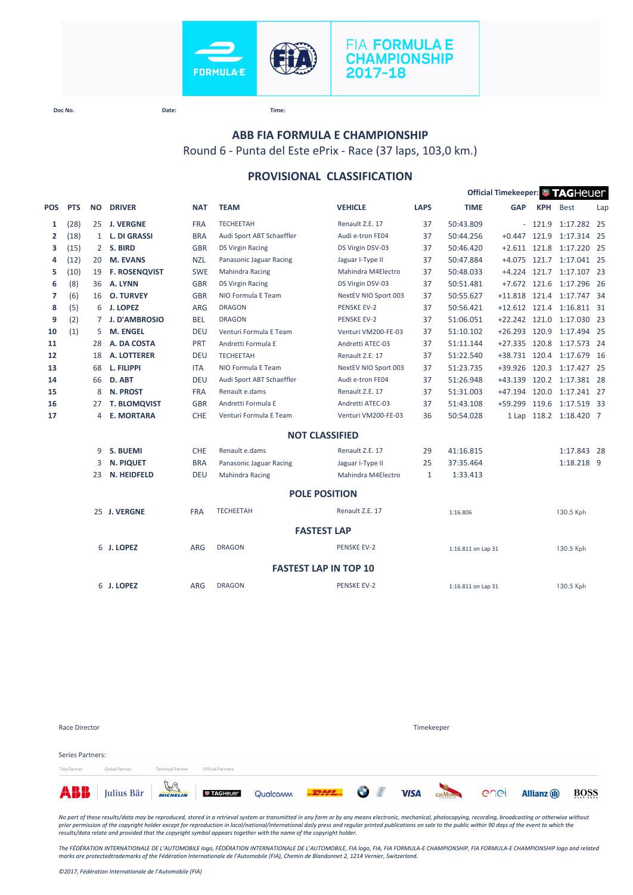



### **ABB FIA FORMULA E CHAMPIONSHIP**

Round 6 - Punta del Este ePrix - Race (37 laps, 103,0 km.)

## **PROVISIONAL CLASSIFICATION**

| Official Timekeeper: FAGHeuer |            |              |                      |            |                           |                              |              |                    |                |            |                           |      |
|-------------------------------|------------|--------------|----------------------|------------|---------------------------|------------------------------|--------------|--------------------|----------------|------------|---------------------------|------|
| <b>POS</b>                    | <b>PTS</b> | <b>NO</b>    | <b>DRIVER</b>        | <b>NAT</b> | <b>TEAM</b>               | <b>VEHICLE</b>               | <b>LAPS</b>  | <b>TIME</b>        | <b>GAP</b>     | <b>KPH</b> | <b>Best</b>               | Lap  |
| 1                             | (28)       |              | 25 J. VERGNE         | <b>FRA</b> | <b>TECHEETAH</b>          | Renault Z.E. 17              | 37           | 50:43.809          |                | $-121.9$   | 1:17.282 25               |      |
| $\mathbf{2}$                  | (18)       | $\mathbf{1}$ | <b>L. DI GRASSI</b>  | <b>BRA</b> | Audi Sport ABT Schaeffler | Audi e-tron FE04             | 37           | 50:44.256          | $+0.447$ 121.9 |            | 1:17.314 25               |      |
| з                             | (15)       | 2            | S. BIRD              | <b>GBR</b> | <b>DS Virgin Racing</b>   | DS Virgin DSV-03             | 37           | 50:46.420          |                |            | +2.611 121.8 1:17.220 25  |      |
| 4                             | (12)       | 20           | <b>M. EVANS</b>      | <b>NZL</b> | Panasonic Jaguar Racing   | Jaguar I-Type II             | 37           | 50:47.884          |                |            | +4.075 121.7 1:17.041 25  |      |
| 5                             | (10)       | 19           | <b>F. ROSENQVIST</b> | <b>SWE</b> | <b>Mahindra Racing</b>    | Mahindra M4Electro           | 37           | 50:48.033          |                |            | +4.224 121.7 1:17.107 23  |      |
| 6                             | (8)        | 36           | A. LYNN              | <b>GBR</b> | <b>DS Virgin Racing</b>   | DS Virgin DSV-03             | 37           | 50:51.481          |                |            | +7.672 121.6 1:17.296 26  |      |
| 7                             | (6)        | 16           | <b>O. TURVEY</b>     | <b>GBR</b> | NIO Formula E Team        | NextEV NIO Sport 003         | 37           | 50:55.627          |                |            | +11.818 121.4 1:17.747 34 |      |
| 8                             | (5)        | 6            | <b>J. LOPEZ</b>      | <b>ARG</b> | <b>DRAGON</b>             | <b>PENSKE EV-2</b>           | 37           | 50:56.421          |                |            | +12.612 121.4 1:16.811 31 |      |
| 9                             | (2)        | $7^{\circ}$  | <b>J. D'AMBROSIO</b> | <b>BEL</b> | <b>DRAGON</b>             | <b>PENSKE EV-2</b>           | 37           | 51:06.051          |                |            | +22.242 121.0 1:17.030 23 |      |
| 10                            | (1)        | 5.           | M. ENGEL             | <b>DEU</b> | Venturi Formula E Team    | Venturi VM200-FE-03          | 37           | 51:10.102          | $+26.293$      | 120.9      | 1:17.494 25               |      |
| 11                            |            | 28           | A. DA COSTA          | <b>PRT</b> | Andretti Formula E        | Andretti ATEC-03             | 37           | 51:11.144          | $+27.335$      | 120.8      | 1:17.573 24               |      |
| 12                            |            | 18           | <b>A. LOTTERER</b>   | <b>DEU</b> | <b>TECHEETAH</b>          | Renault Z.E. 17              | 37           | 51:22.540          |                |            | +38.731 120.4 1:17.679    | - 16 |
| 13                            |            | 68           | L. FILIPPI           | <b>ITA</b> | NIO Formula E Team        | NextEV NIO Sport 003         | 37           | 51:23.735          | +39.926        |            | 120.3 1:17.427 25         |      |
| 14                            |            | 66           | D. ABT               | <b>DEU</b> | Audi Sport ABT Schaeffler | Audi e-tron FE04             | 37           | 51:26.948          | $+43.139$      |            | 120.2 1:17.381 28         |      |
| 15                            |            | 8            | <b>N. PROST</b>      | <b>FRA</b> | Renault e.dams            | Renault Z.E. 17              | 37           | 51:31.003          | $+47.194$      | 120.0      | 1:17.241 27               |      |
| 16                            |            | 27           | <b>T. BLOMQVIST</b>  | <b>GBR</b> | Andretti Formula E        | Andretti ATEC-03             | 37           | 51:43.108          | $+59.299$      | 119.6      | 1:17.519 33               |      |
| 17                            |            | 4            | <b>E. MORTARA</b>    | CHE        | Venturi Formula E Team    | Venturi VM200-FE-03          | 36           | 50:54.028          |                |            | 1 Lap 118.2 1:18.420 7    |      |
|                               |            |              |                      |            |                           | <b>NOT CLASSIFIED</b>        |              |                    |                |            |                           |      |
|                               |            | 9            | <b>S. BUEMI</b>      | <b>CHE</b> | Renault e.dams            | Renault Z.E. 17              | 29           | 41:16.815          |                |            | 1:17.843 28               |      |
|                               |            | 3            | <b>N. PIQUET</b>     | <b>BRA</b> | Panasonic Jaguar Racing   | Jaguar I-Type II             | 25           | 37:35.464          |                |            | 1:18.218 9                |      |
|                               |            | 23           | N. HEIDFELD          | <b>DEU</b> | Mahindra Racing           | Mahindra M4Electro           | $\mathbf{1}$ | 1:33.413           |                |            |                           |      |
|                               |            |              |                      |            |                           | <b>POLE POSITION</b>         |              |                    |                |            |                           |      |
|                               |            |              | 25 J. VERGNE         | <b>FRA</b> | <b>TECHEETAH</b>          | Renault Z.E. 17              |              | 1:16.806           |                |            | 130.5 Kph                 |      |
|                               |            |              |                      |            |                           | <b>FASTEST LAP</b>           |              |                    |                |            |                           |      |
|                               |            |              | 6 J. LOPEZ           | <b>ARG</b> | <b>DRAGON</b>             | <b>PENSKE EV-2</b>           |              | 1:16.811 on Lap 31 |                |            | 130.5 Kph                 |      |
|                               |            |              |                      |            |                           | <b>FASTEST LAP IN TOP 10</b> |              |                    |                |            |                           |      |
|                               |            |              | 6 J. LOPEZ           | <b>ARG</b> | <b>DRAGON</b>             | <b>PENSKE EV-2</b>           |              | 1:16.811 on Lap 31 |                |            | 130.5 Kph                 |      |
|                               |            |              |                      |            |                           |                              |              |                    |                |            |                           |      |

| Race Director                     |                |                          | Timekeeper        |                                                                                                                                                                                                                                           |  |  |  |                     |      |  |
|-----------------------------------|----------------|--------------------------|-------------------|-------------------------------------------------------------------------------------------------------------------------------------------------------------------------------------------------------------------------------------------|--|--|--|---------------------|------|--|
| Series Partners:<br>Title Partner | Global Partner | <b>Technical Partner</b> | Official Partners |                                                                                                                                                                                                                                           |  |  |  |                     |      |  |
|                                   |                |                          |                   | <b>ABB</b> Julius Bär <b>Francische Directional Contact of the Second Contact of The Contact Contact Contact Contact Contact Contact Contact Contact Contact Contact Contact Contact Contact Contact Contact Contact Contact Contact </b> |  |  |  | <b>Allianz</b> (ii) | BOSS |  |

*No part of these results/data may be reproduced, stored in a retrieval system or transmitted in any form or by any means electronic, mechanical, photocopying, recording, broadcasting or otherwise without*  prior permission of the copyright holder except for reproduction in local/national/international daily press and regular printed publications on sale to the public within 90 days of the event to which the<br>results/data rela

*The FÉDÉRATION INTERNATIONALE DE L'AUTOMOBILE logo, FÉDÉRATION INTERNATIONALE DE L'AUTOMOBILE, FIA logo, FIA, FIA FORMULA-E CHAMPIONSHIP, FIA FORMULA-E CHAMPIONSHIP logo and related marks are protectedtrademarks of the Fédération Internationale de l'Automobile (FIA), Chemin de Blandonnet 2, 1214 Vernier, Switzerland.*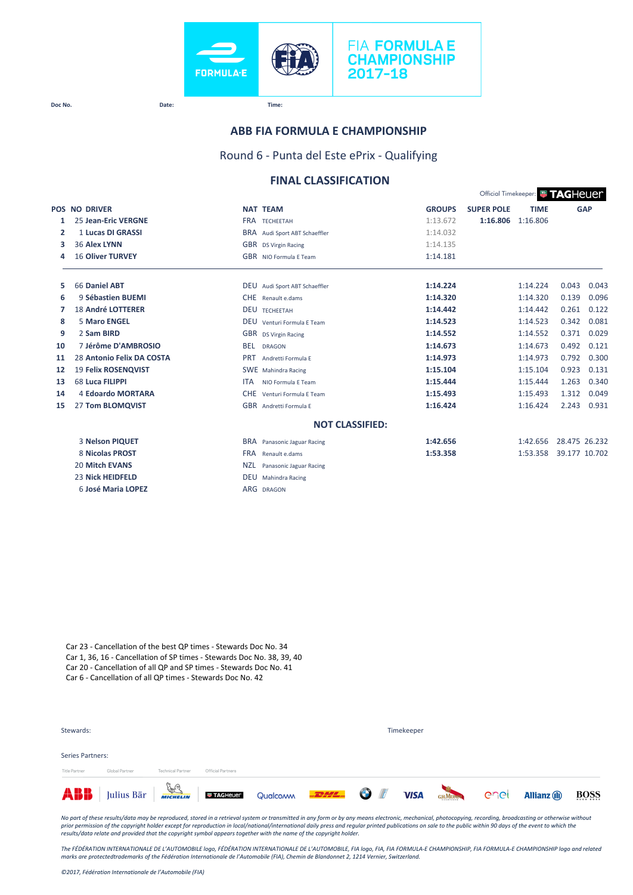

### **ABB FIA FORMULA E CHAMPIONSHIP**

Round 6 - Punta del Este ePrix - Qualifying

# **FINAL CLASSIFICATION**

|    |                            |                                       |               |                   | Official Timekeeper: <b># TAGHEUE</b> |               |            |
|----|----------------------------|---------------------------------------|---------------|-------------------|---------------------------------------|---------------|------------|
|    | <b>POS NO DRIVER</b>       | <b>NAT TEAM</b>                       | <b>GROUPS</b> | <b>SUPER POLE</b> | <b>TIME</b>                           |               | <b>GAP</b> |
| 1  | 25 Jean-Eric VERGNE        | <b>FRA TECHEFTAH</b>                  | 1:13.672      | 1:16.806          | 1:16.806                              |               |            |
| 2  | 1 Lucas DI GRASSI          | BRA Audi Sport ABT Schaeffler         | 1:14.032      |                   |                                       |               |            |
| з  | 36 Alex LYNN               | GBR DS Virgin Racing                  | 1:14.135      |                   |                                       |               |            |
| 4  | <b>16 Oliver TURVEY</b>    | <b>GBR</b> NIO Formula E Team         | 1:14.181      |                   |                                       |               |            |
| 5  | 66 Daniel ABT              | DEU Audi Sport ABT Schaeffler         | 1:14.224      |                   | 1:14.224                              | 0.043         | 0.043      |
| 6  | 9 Sébastien BUEMI          | CHE Renault e.dams                    | 1:14.320      |                   | 1:14.320                              | 0.139         | 0.096      |
| 7  | <b>18 André LOTTERER</b>   | <b>DEU TECHEETAH</b>                  | 1:14.442      |                   | 1:14.442                              | 0.261         | 0.122      |
| 8  | 5 Maro ENGEL               | DEU Venturi Formula E Team            | 1:14.523      |                   | 1:14.523                              | 0.342         | 0.081      |
| 9  | 2 Sam BIRD                 | GBR DS Virgin Racing                  | 1:14.552      |                   | 1:14.552                              | 0.371         | 0.029      |
| 10 | 7 Jérôme D'AMBROSIO        | <b>BEL</b><br><b>DRAGON</b>           | 1:14.673      |                   | 1:14.673                              | 0.492         | 0.121      |
| 11 | 28 Antonio Felix DA COSTA  | <b>PRT</b><br>Andretti Formula E      | 1:14.973      |                   | 1:14.973                              | 0.792         | 0.300      |
| 12 | <b>19 Felix ROSENQVIST</b> | SWE Mahindra Racing                   | 1:15.104      |                   | 1:15.104                              | 0.923         | 0.131      |
| 13 | 68 Luca FILIPPI            | <b>ITA</b><br>NIO Formula F Team      | 1:15.444      |                   | 1:15.444                              | 1.263         | 0.340      |
| 14 | 4 Edoardo MORTARA          | CHE Venturi Formula E Team            | 1:15.493      |                   | 1:15.493                              | 1.312         | 0.049      |
| 15 | 27 Tom BLOMQVIST           | GBR Andretti Formula E                | 1:16.424      |                   | 1:16.424                              | 2.243         | 0.931      |
|    |                            | <b>NOT CLASSIFIED:</b>                |               |                   |                                       |               |            |
|    | 3 Nelson PIQUET            | BRA Panasonic Jaguar Racing           | 1:42.656      |                   | 1:42.656                              | 28.475 26.232 |            |
|    | 8 Nicolas PROST            | <b>FRA</b><br>Renault e.dams          | 1:53.358      |                   | 1:53.358                              | 39.177 10.702 |            |
|    | <b>20 Mitch EVANS</b>      | <b>NZL</b><br>Panasonic Jaguar Racing |               |                   |                                       |               |            |
|    | <b>23 Nick HEIDFELD</b>    | <b>DEU</b> Mahindra Racing            |               |                   |                                       |               |            |
|    | 6 José Maria LOPEZ         | ARG DRAGON                            |               |                   |                                       |               |            |

Car 23 - Cancellation of the best QP times - Stewards Doc No. 34 Car 1, 36, 16 - Cancellation of SP times - Stewards Doc No. 38, 39, 40 Car 20 - Cancellation of all QP and SP times - Stewards Doc No. 41 Car 6 - Cancellation of all QP times - Stewards Doc No. 42

| Stewards:                         |                |                          |                   |                                                                                                           |  | Timekeeper |  |                     |             |
|-----------------------------------|----------------|--------------------------|-------------------|-----------------------------------------------------------------------------------------------------------|--|------------|--|---------------------|-------------|
| Series Partners:<br>Title Partner | Global Partner | <b>Technical Partner</b> | Official Partners |                                                                                                           |  |            |  |                     |             |
|                                   |                |                          |                   | <b>ABB</b> Julius Bär <b>Francische Direction des Landschafe</b> Qualcom <b>Direction</b> UISA GAMERA COC |  |            |  | <b>Allianz</b> (ii) | <b>BOSS</b> |

*No part of these results/data may be reproduced, stored in a retrieval system or transmitted in any form or by any means electronic, mechanical, photocopying, recording, broadcasting or otherwise without*  prior permission of the copyright holder except for reproduction in local/national/international daily press and regular printed publications on sale to the public within 90 days of the event to which the<br>results/data rela

The FÉDÉRATION INTERNATIONALE DE L'AUTOMOBILE logo, FÉDÉRATION INTERNATIONALE DE L'AUTOMOBILE, FIA logo, FIA, FIA FORMULA-E CHAMPIONSHIP, FIA FORMULA-E CHAMPIONSHIP logo and related<br>marks are protectedtrademarks of the Féd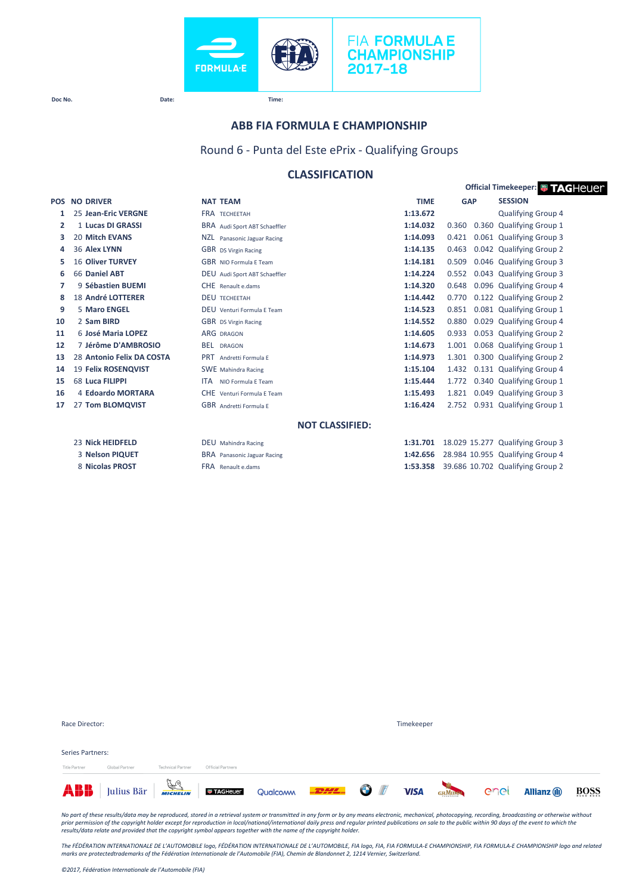



**Official Timekeeper: <b>B** TAGHeUer

**Doc No. Date: Time:**

### **ABB FIA FORMULA E CHAMPIONSHIP**

Round 6 - Punta del Este ePrix - Qualifying Groups

# **CLASSIFICATION**

| <b>POS</b> | <b>NO DRIVER</b>          | <b>NAT TEAM</b>                    | <b>TIME</b> | <b>GAP</b> | <b>SESSION</b>                   |
|------------|---------------------------|------------------------------------|-------------|------------|----------------------------------|
| 1          | 25 Jean-Eric VERGNE       | <b>FRA TECHEETAH</b>               | 1:13.672    |            | <b>Qualifying Group 4</b>        |
| 2          | 1 Lucas DI GRASSI         | BRA Audi Sport ABT Schaeffler      | 1:14.032    | 0.360      | 0.360 Qualifying Group 1         |
| з          | 20 Mitch EVANS            | NZL Panasonic Jaguar Racing        | 1:14.093    | 0.421      | 0.061 Qualifying Group 3         |
| 4          | 36 Alex LYNN              | GBR DS Virgin Racing               | 1:14.135    | 0.463      | 0.042 Qualifying Group 2         |
| 5          | <b>16 Oliver TURVEY</b>   | GBR NIO Formula E Team             | 1:14.181    | 0.509      | 0.046 Qualifying Group 3         |
| 6          | 66 Daniel ABT             | DEU Audi Sport ABT Schaeffler      | 1:14.224    | 0.552      | 0.043 Qualifying Group 3         |
| 7          | 9 Sébastien BUEMI         | CHE Renault e.dams                 | 1:14.320    | 0.648      | 0.096 Qualifying Group 4         |
| 8          | 18 André LOTTERER         | <b>DEU TECHEETAH</b>               | 1:14.442    | 0.770      | 0.122 Qualifying Group 2         |
| 9          | 5 Maro ENGEL              | DEU Venturi Formula F Team         | 1:14.523    |            | 0.851 0.081 Qualifying Group 1   |
| 10         | 2 Sam BIRD                | <b>GBR</b> DS Virgin Racing        | 1:14.552    | 0.880      | 0.029 Qualifying Group 4         |
| 11         | 6 José Maria LOPEZ        | <b>ARG DRAGON</b>                  | 1:14.605    | 0.933      | 0.053 Qualifying Group 2         |
| 12         | 7 Jérôme D'AMBROSIO       | <b>BEL DRAGON</b>                  | 1:14.673    | 1.001      | 0.068 Qualifying Group 1         |
| 13         | 28 Antonio Felix DA COSTA | PRT Andretti Formula E             | 1:14.973    | 1.301      | 0.300 Qualifying Group 2         |
| 14         | 19 Felix ROSENQVIST       | <b>SWE</b> Mahindra Racing         | 1:15.104    | 1.432      | 0.131 Qualifying Group 4         |
| 15         | 68 Luca FILIPPI           | <b>ITA</b><br>NIO Formula F Team   | 1:15.444    | 1.772      | 0.340 Qualifying Group 1         |
| 16         | 4 Edoardo MORTARA         | CHE Venturi Formula E Team         | 1:15.493    | 1.821      | 0.049 Qualifying Group 3         |
| 17         | 27 Tom BLOMQVIST          | GBR Andretti Formula E             | 1:16.424    |            | 2.752 0.931 Qualifying Group 1   |
|            |                           | <b>NOT CLASSIFIED:</b>             |             |            |                                  |
|            | 23 Nick HEIDFELD          | <b>DEU</b> Mahindra Racing         | 1:31.701    |            | 18.029 15.277 Qualifying Group 3 |
|            | 3 Nelson PIQUET           | <b>BRA</b> Panasonic Jaguar Racing | 1:42.656    |            | 28.984 10.955 Qualifying Group 4 |
|            | 8 Nicolas PROST           | FRA Renault e.dams                 | 1:53.358    |            | 39.686 10.702 Qualifying Group 2 |

|                         |                |                          |                   | <b>ABB</b> Julius Bär <b>Franz Landstein</b> Qualcom <b>PEPE O</b> |  |            | GHMUNN COCI | <b>Allianz</b> (ii) | BOSS |
|-------------------------|----------------|--------------------------|-------------------|--------------------------------------------------------------------|--|------------|-------------|---------------------|------|
| <b>Title Partner</b>    | Global Partner | <b>Technical Partner</b> | Official Partners |                                                                    |  |            |             |                     |      |
| <b>Series Partners:</b> |                |                          |                   |                                                                    |  |            |             |                     |      |
|                         |                |                          |                   |                                                                    |  |            |             |                     |      |
| Race Director:          |                |                          |                   |                                                                    |  | Timekeeper |             |                     |      |

No part of these results/data may be reproduced, stored in a retrieval system or transmitted in any form or by any means electronic, mechanical, photocopying, recording, broadcasting or otherwise without<br>prior permission o

The FÉDÉRATION INTERNATIONALE DE L'AUTOMOBILE logo, FÉDÉRATION INTERNATIONALE DE L'AUTOMOBILE, FIA logo, FIA, FIA FORMULA-E CHAMPIONSHIP, FIA FORMULA-E CHAMPIONSHIP logo and related<br>marks are protectedtrademarks of the Féd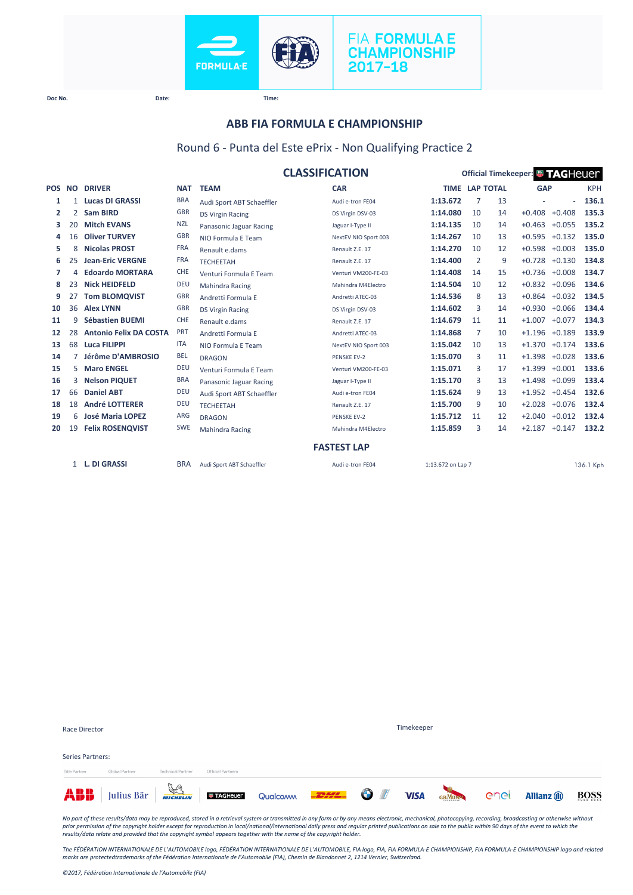



## **ABB FIA FORMULA E CHAMPIONSHIP**

### Round 6 - Punta del Este ePrix - Non Qualifying Practice 2

|        |                |                               |            |                           | <b>CLASSIFICATION</b> | Official Timekeeper: <sup>1</sup> TAGHeuer |                |    |            |                 |            |  |
|--------|----------------|-------------------------------|------------|---------------------------|-----------------------|--------------------------------------------|----------------|----|------------|-----------------|------------|--|
| POS NO |                | <b>DRIVER</b>                 | <b>NAT</b> | <b>TEAM</b>               | <b>CAR</b>            | <b>TIME LAP TOTAL</b>                      |                |    | <b>GAP</b> |                 | <b>KPH</b> |  |
| 1      | $\mathbf{1}$   | <b>Lucas DI GRASSI</b>        | <b>BRA</b> | Audi Sport ABT Schaeffler | Audi e-tron FE04      | 1:13.672                                   | 7              | 13 |            | ä,              | 136.1      |  |
| 2      | $\mathbf{2}$   | <b>Sam BIRD</b>               | <b>GBR</b> | <b>DS Virgin Racing</b>   | DS Virgin DSV-03      | 1:14.080                                   | 10             | 14 | $+0.408$   | $+0.408$        | 135.3      |  |
| з      | 20             | <b>Mitch EVANS</b>            | <b>NZL</b> | Panasonic Jaguar Racing   | Jaguar I-Type II      | 1:14.135                                   | 10             | 14 | $+0.463$   | $+0.055$        | 135.2      |  |
| 4      | 16             | <b>Oliver TURVEY</b>          | <b>GBR</b> | NIO Formula E Team        | NextEV NIO Sport 003  | 1:14.267                                   | 10             | 13 | $+0.595$   | $+0.132$        | 135.0      |  |
| 5      | 8              | <b>Nicolas PROST</b>          | <b>FRA</b> | Renault e.dams            | Renault Z.E. 17       | 1:14.270                                   | 10             | 12 | $+0.598$   | $+0.003$        | 135.0      |  |
| 6      | 25             | <b>Jean-Eric VERGNE</b>       | <b>FRA</b> | <b>TECHEETAH</b>          | Renault Z.E. 17       | 1:14.400                                   | $\overline{2}$ | 9  | $+0.728$   | $+0.130$        | 134.8      |  |
| 7      | 4              | <b>Edoardo MORTARA</b>        | <b>CHE</b> | Venturi Formula E Team    | Venturi VM200-FE-03   | 1:14.408                                   | 14             | 15 | $+0.736$   | $+0.008$        | 134.7      |  |
| 8      | 23             | <b>Nick HEIDFELD</b>          | <b>DEU</b> | <b>Mahindra Racing</b>    | Mahindra M4Electro    | 1:14.504                                   | 10             | 12 |            | $+0.832 +0.096$ | 134.6      |  |
| 9      | 27             | <b>Tom BLOMQVIST</b>          | <b>GBR</b> | Andretti Formula E        | Andretti ATEC-03      | 1:14.536                                   | 8              | 13 | $+0.864$   | $+0.032$        | 134.5      |  |
| 10     | 36             | <b>Alex LYNN</b>              | <b>GBR</b> | <b>DS Virgin Racing</b>   | DS Virgin DSV-03      | 1:14.602                                   | 3              | 14 | $+0.930$   | $+0.066$        | 134.4      |  |
| 11     | 9              | <b>Sébastien BUEMI</b>        | <b>CHE</b> | Renault e.dams            | Renault Z.F. 17       | 1:14.679                                   | 11             | 11 | $+1.007$   | $+0.077$        | 134.3      |  |
| 12     | 28             | <b>Antonio Felix DA COSTA</b> | <b>PRT</b> | Andretti Formula E        | Andretti ATEC-03      | 1:14.868                                   | 7              | 10 | $+1.196$   | $+0.189$        | 133.9      |  |
| 13     | 68             | Luca FILIPPI                  | <b>ITA</b> | NIO Formula E Team        | NextEV NIO Sport 003  | 1:15.042                                   | 10             | 13 | $+1.370$   | $+0.174$        | 133.6      |  |
| 14     | $\overline{7}$ | Jérôme D'AMBROSIO             | <b>BEL</b> | <b>DRAGON</b>             | <b>PENSKE EV-2</b>    | 1:15.070                                   | 3              | 11 | $+1.398$   | $+0.028$        | 133.6      |  |
| 15     | 5.             | <b>Maro ENGEL</b>             | <b>DEU</b> | Venturi Formula E Team    | Venturi VM200-FE-03   | 1:15.071                                   | 3              | 17 | $+1.399$   | $+0.001$        | 133.6      |  |
| 16     | 3              | <b>Nelson PIQUET</b>          | <b>BRA</b> | Panasonic Jaguar Racing   | Jaguar I-Type II      | 1:15.170                                   | 3              | 13 | $+1.498$   | $+0.099$        | 133.4      |  |
| 17     | 66             | <b>Daniel ABT</b>             | <b>DEU</b> | Audi Sport ABT Schaeffler | Audi e-tron FE04      | 1:15.624                                   | 9              | 13 | $+1.952$   | $+0.454$        | 132.6      |  |
| 18     | 18             | <b>André LOTTERER</b>         | <b>DEU</b> | <b>TECHEETAH</b>          | Renault Z.E. 17       | 1:15.700                                   | 9              | 10 | $+2.028$   | $+0.076$        | 132.4      |  |
| 19     | 6              | <b>José Maria LOPEZ</b>       | <b>ARG</b> | <b>DRAGON</b>             | <b>PENSKE EV-2</b>    | 1:15.712                                   | 11             | 12 | $+2.040$   | $+0.012$        | 132.4      |  |
| 20     | 19             | <b>Felix ROSENQVIST</b>       | <b>SWE</b> | <b>Mahindra Racing</b>    | Mahindra M4Electro    | 1:15.859                                   | 3              | 14 | $+2.187$   | $+0.147$        | 132.2      |  |
|        |                |                               |            |                           | <b>FASTEST LAP</b>    |                                            |                |    |            |                 |            |  |
|        |                | 1 L. DI GRASSI                | <b>BRA</b> | Audi Sport ABT Schaeffler | Audi e-tron FE04      | 1:13.672 on Lap 7                          |                |    |            |                 | 136.1 Kph  |  |

|                                   | ABB Julius Bär <b>Frage Little States August Qualcomm 2009</b> The VISA GAMERY CACL |                          |                   |            |  |  |  |  | <b>Allianz</b> (ii) | BOSS |
|-----------------------------------|-------------------------------------------------------------------------------------|--------------------------|-------------------|------------|--|--|--|--|---------------------|------|
| Series Partners:<br>Title Partner | Global Partner                                                                      | <b>Technical Partner</b> | Official Partners |            |  |  |  |  |                     |      |
|                                   |                                                                                     |                          |                   |            |  |  |  |  |                     |      |
| Race Director                     |                                                                                     |                          |                   | Timekeeper |  |  |  |  |                     |      |

No part of these results/data may be reproduced, stored in a retrieval system or transmitted in any form or by any means electronic, mechanical, photocopying, recording, broadcasting or otherwise without<br>prior permission o

*The FÉDÉRATION INTERNATIONALE DE L'AUTOMOBILE logo, FÉDÉRATION INTERNATIONALE DE L'AUTOMOBILE, FIA logo, FIA, FIA FORMULA-E CHAMPIONSHIP, FIA FORMULA-E CHAMPIONSHIP logo and related marks are protectedtrademarks of the Fédération Internationale de l'Automobile (FIA), Chemin de Blandonnet 2, 1214 Vernier, Switzerland.*